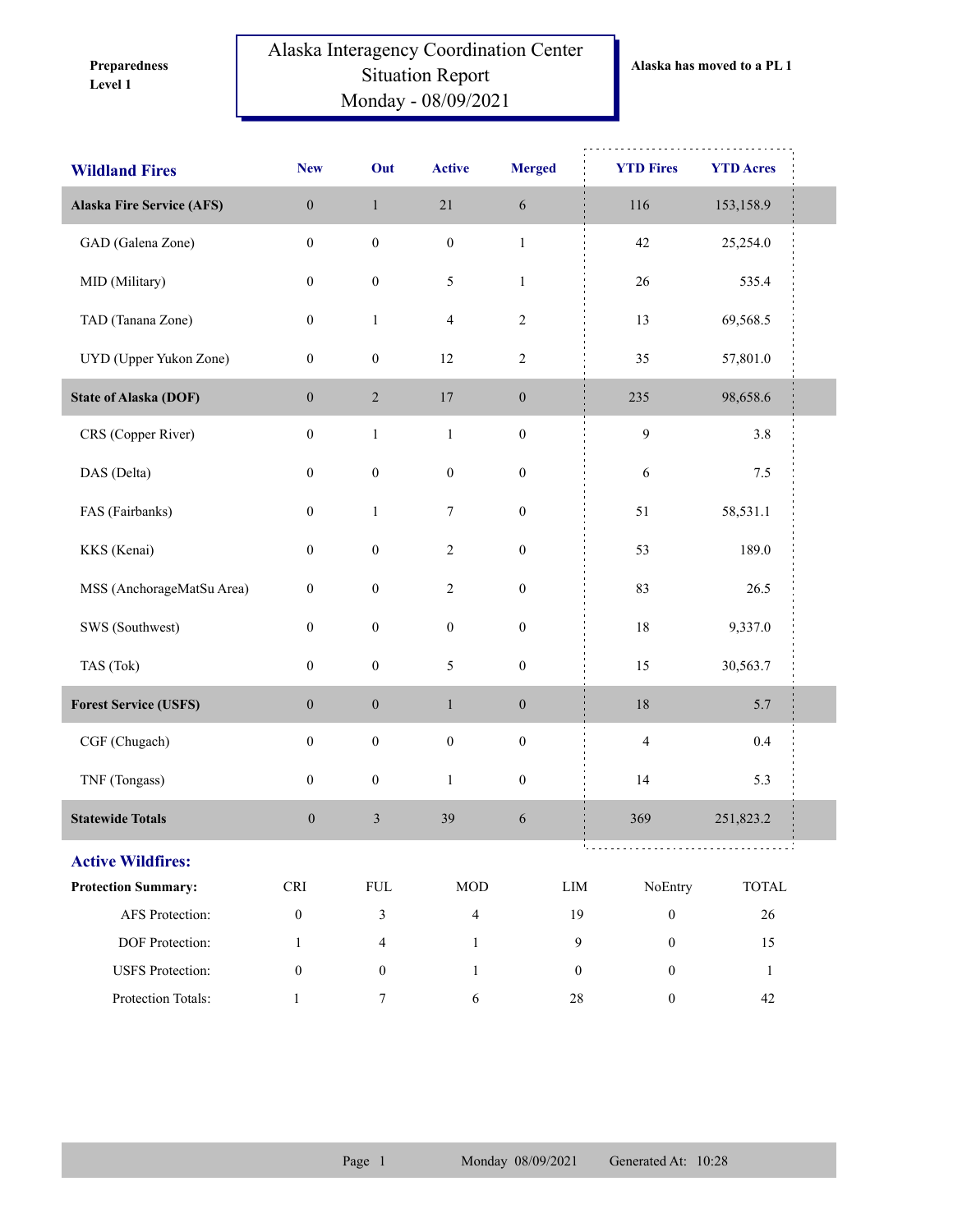**Level 1 Preparedness** 

## Alaska Interagency Coordination Center Situation Report Monday - 08/09/2021

| <b>Wildland Fires</b>            | <b>New</b>       | Out              | <b>Active</b>           | <b>Merged</b>    | <b>YTD Fires</b>                   | <b>YTD Acres</b> |  |
|----------------------------------|------------------|------------------|-------------------------|------------------|------------------------------------|------------------|--|
| <b>Alaska Fire Service (AFS)</b> | $\boldsymbol{0}$ | $\,1$            | $21\,$                  | $\sqrt{6}$       | 116                                | 153,158.9        |  |
| GAD (Galena Zone)                | $\boldsymbol{0}$ | $\boldsymbol{0}$ | $\boldsymbol{0}$        | $\,1\,$          | 42                                 | 25,254.0         |  |
| MID (Military)                   | $\boldsymbol{0}$ | $\boldsymbol{0}$ | $\mathfrak{S}$          | $\mathbf{1}$     | $26\,$                             | 535.4            |  |
| TAD (Tanana Zone)                | $\boldsymbol{0}$ | $\mathbf{1}$     | $\overline{\mathbf{4}}$ | $\sqrt{2}$       | 13                                 | 69,568.5         |  |
| UYD (Upper Yukon Zone)           | $\boldsymbol{0}$ | $\boldsymbol{0}$ | 12                      | $\sqrt{2}$       | 35                                 | 57,801.0         |  |
| <b>State of Alaska (DOF)</b>     | $\boldsymbol{0}$ | $\overline{2}$   | 17                      | $\boldsymbol{0}$ | 235                                | 98,658.6         |  |
| CRS (Copper River)               | $\boldsymbol{0}$ | $\,1$            | $\,1$                   | $\boldsymbol{0}$ | $\boldsymbol{9}$                   | 3.8              |  |
| DAS (Delta)                      | $\boldsymbol{0}$ | $\boldsymbol{0}$ | $\boldsymbol{0}$        | $\boldsymbol{0}$ | $\sqrt{6}$                         | $7.5$            |  |
| FAS (Fairbanks)                  | $\boldsymbol{0}$ | $\,1$            | $\boldsymbol{7}$        | $\boldsymbol{0}$ | 51                                 | 58,531.1         |  |
| KKS (Kenai)                      | $\boldsymbol{0}$ | $\boldsymbol{0}$ | $\sqrt{2}$              | $\boldsymbol{0}$ | 53                                 | 189.0            |  |
| MSS (AnchorageMatSu Area)        | $\boldsymbol{0}$ | $\boldsymbol{0}$ | $\sqrt{2}$              | $\boldsymbol{0}$ | 83                                 | 26.5             |  |
| SWS (Southwest)                  | $\boldsymbol{0}$ | $\boldsymbol{0}$ | $\boldsymbol{0}$        | $\boldsymbol{0}$ | $18\,$                             | 9,337.0          |  |
| TAS (Tok)                        | $\boldsymbol{0}$ | $\boldsymbol{0}$ | 5                       | $\boldsymbol{0}$ | 15                                 | 30,563.7         |  |
| <b>Forest Service (USFS)</b>     | $\boldsymbol{0}$ | $\boldsymbol{0}$ | $\mathbf{1}$            | $\boldsymbol{0}$ | $18\,$                             | 5.7              |  |
| CGF (Chugach)                    | $\boldsymbol{0}$ | $\boldsymbol{0}$ | $\boldsymbol{0}$        | $\boldsymbol{0}$ | $\overline{4}$                     | $0.4\,$          |  |
| TNF (Tongass)                    | $\boldsymbol{0}$ | $\boldsymbol{0}$ | $\,1$                   | $\boldsymbol{0}$ | 14                                 | 5.3              |  |
| <b>Statewide Totals</b>          | $\boldsymbol{0}$ | $\sqrt{3}$       | 39                      | 6                | 369                                | 251,823.2        |  |
| <b>Active Wildfires:</b>         |                  |                  |                         |                  |                                    | .                |  |
| <b>Protection Summary:</b>       | CRI              | ${\rm FUL}$      | $\rm MOD$               |                  | NoEntry<br>${\rm LIM}$             | TOTAL            |  |
| AFS Protection:                  | $\boldsymbol{0}$ | $\mathfrak{Z}$   | $\overline{4}$          |                  | 19<br>$\boldsymbol{0}$             | $26\,$           |  |
| DOF Protection:                  | $\mathbf{1}$     | $\overline{4}$   | $\mathbf{1}$            |                  | 9<br>$\mathbf{0}$                  | 15               |  |
| <b>USFS</b> Protection:          | $\boldsymbol{0}$ | $\mathbf{0}$     | $\mathbf{1}$            |                  | $\boldsymbol{0}$<br>$\overline{0}$ | $\mathbf{1}$     |  |
| Protection Totals:               | $\mathbf{1}$     | $\boldsymbol{7}$ | 6                       |                  | $28\,$<br>$\boldsymbol{0}$         | 42               |  |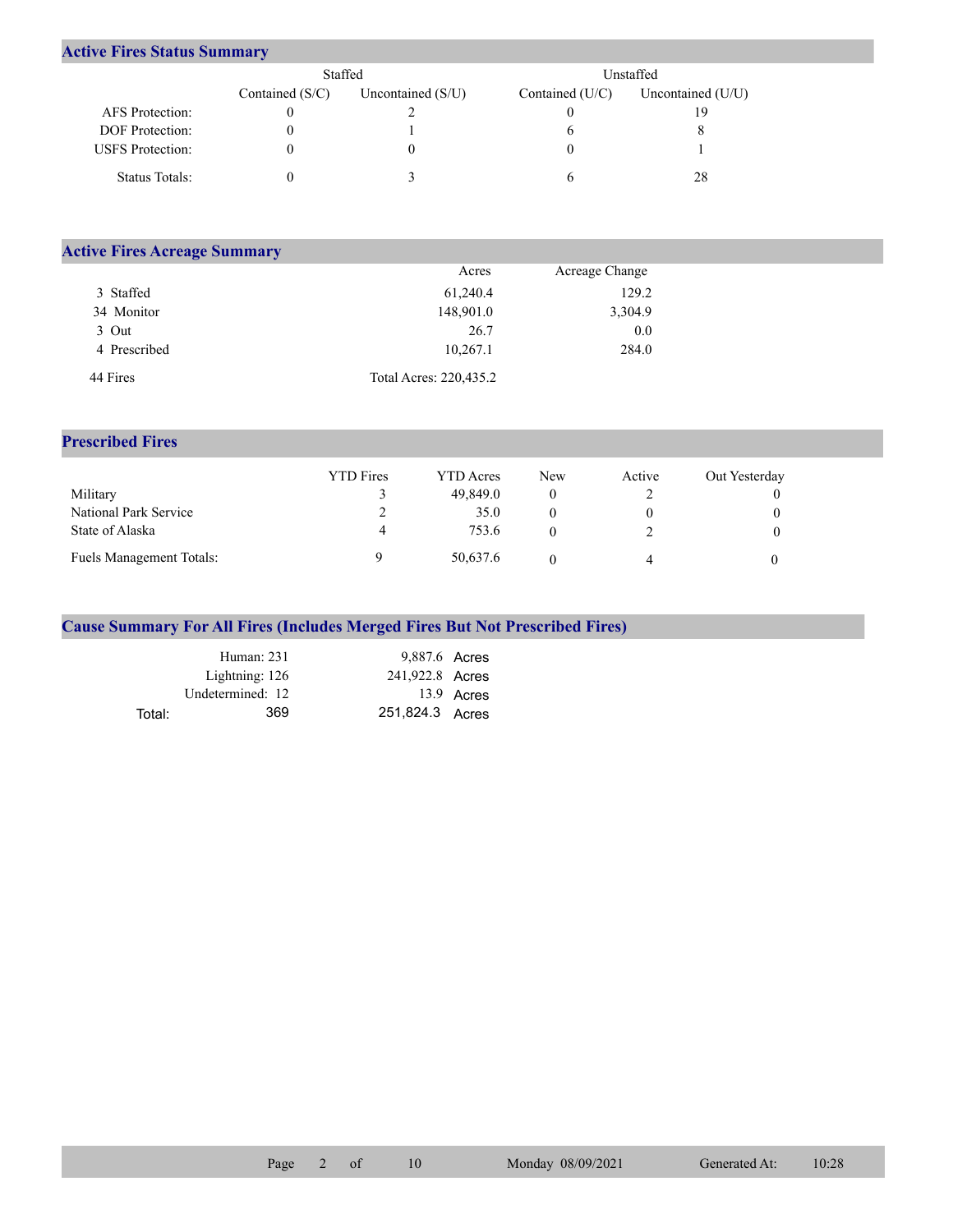## **Active Fires Status Summary**

|                         | Staffed           |                     | Unstaffed       |                     |  |  |
|-------------------------|-------------------|---------------------|-----------------|---------------------|--|--|
|                         | Contained $(S/C)$ | Uncontained $(S/U)$ | Contained (U/C) | Uncontained $(U/U)$ |  |  |
| AFS Protection:         |                   |                     |                 | 19                  |  |  |
| <b>DOF</b> Protection:  |                   |                     |                 |                     |  |  |
| <b>USFS</b> Protection: |                   |                     |                 |                     |  |  |
| Status Totals:          |                   |                     |                 | 28                  |  |  |

| <b>Active Fires Acreage Summary</b> |                        |                |  |
|-------------------------------------|------------------------|----------------|--|
|                                     | Acres                  | Acreage Change |  |
| 3 Staffed                           | 61,240.4               | 129.2          |  |
| 34 Monitor                          | 148,901.0              | 3,304.9        |  |
| 3 Out                               | 26.7                   | 0.0            |  |
| 4 Prescribed                        | 10,267.1               | 284.0          |  |
| 44 Fires                            | Total Acres: 220,435.2 |                |  |

## **Prescribed Fires**

|                                 | <b>YTD</b> Fires | <b>YTD</b> Acres | <b>New</b> | Active | Out Yesterday |
|---------------------------------|------------------|------------------|------------|--------|---------------|
| Military                        |                  | 49,849.0         |            |        |               |
| National Park Service           | ∠                | 35.0             |            |        |               |
| State of Alaska                 | 4                | 753.6            |            |        |               |
| <b>Fuels Management Totals:</b> |                  | 50,637.6         |            | 4      |               |

## **Cause Summary For All Fires (Includes Merged Fires But Not Prescribed Fires)**

|        | Human: 231       | 9,887.6 Acres   |            |
|--------|------------------|-----------------|------------|
|        | Lightning: 126   | 241,922.8 Acres |            |
|        | Undetermined: 12 |                 | 13.9 Acres |
| Total: | 369              | 251,824.3 Acres |            |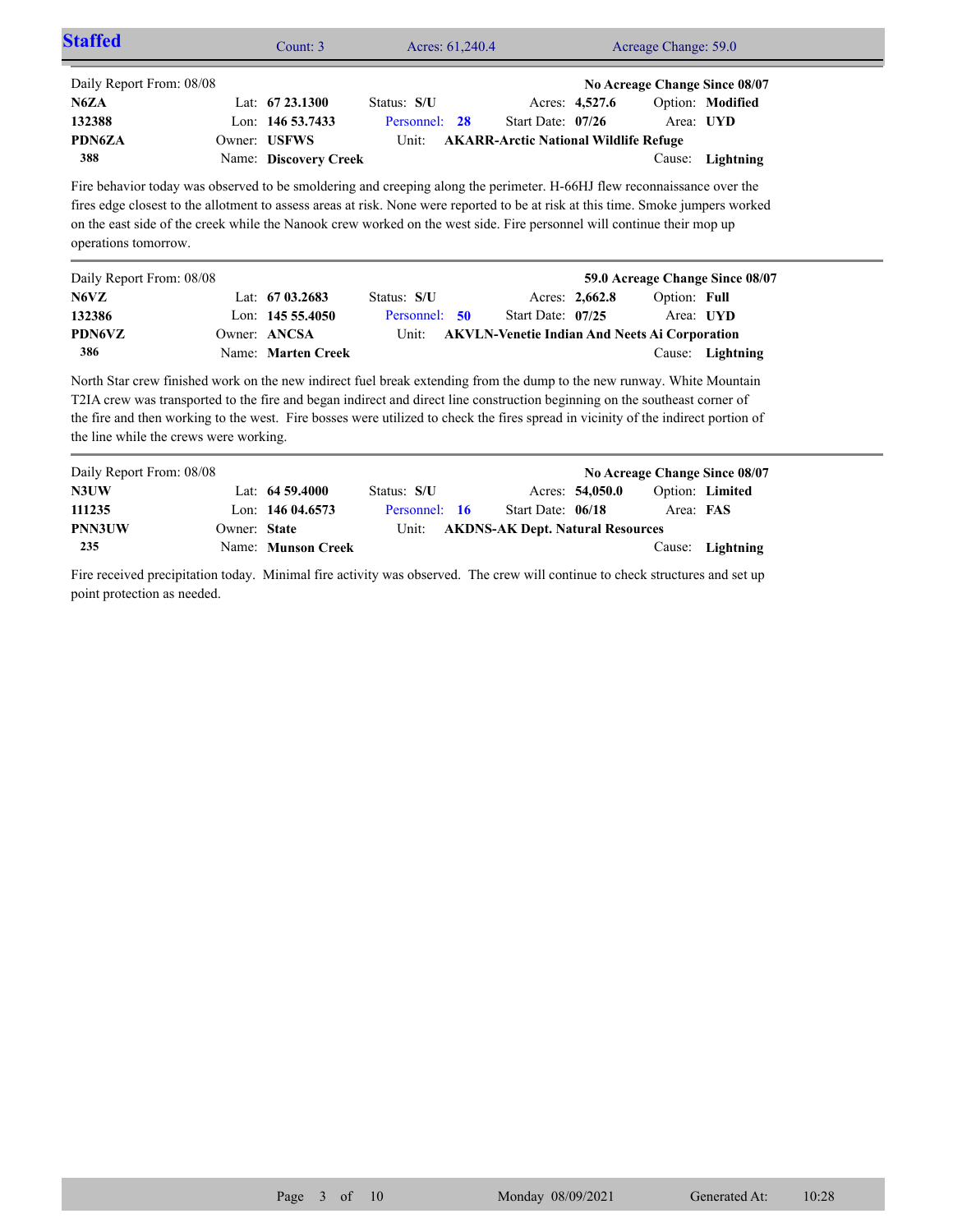| <b>Staffed</b>           | Count: $3$            |               | Acres: 61,240.4 |                                              |                | Acreage Change: 59.0 |                               |  |
|--------------------------|-----------------------|---------------|-----------------|----------------------------------------------|----------------|----------------------|-------------------------------|--|
| Daily Report From: 08/08 |                       |               |                 |                                              |                |                      | No Acreage Change Since 08/07 |  |
| N6ZA                     | Lat: $6723.1300$      | Status: S/U   |                 |                                              | Acres: 4,527.6 |                      | Option: Modified              |  |
| 132388                   | Lon: $14653.7433$     | Personnel: 28 |                 | Start Date: 07/26                            |                | Area: UYD            |                               |  |
| <b>PDN6ZA</b>            | Owner: USFWS          | Unit:         |                 | <b>AKARR-Arctic National Wildlife Refuge</b> |                |                      |                               |  |
| 388                      | Name: Discovery Creek |               |                 |                                              |                |                      | Cause: Lightning              |  |

Fire behavior today was observed to be smoldering and creeping along the perimeter. H-66HJ flew reconnaissance over the fires edge closest to the allotment to assess areas at risk. None were reported to be at risk at this time. Smoke jumpers worked on the east side of the creek while the Nanook crew worked on the west side. Fire personnel will continue their mop up operations tomorrow.

| Daily Report From: 08/08 |                    |               |                     |                | 59.0 Acreage Change Since 08/07                      |  |
|--------------------------|--------------------|---------------|---------------------|----------------|------------------------------------------------------|--|
| N6VZ                     | Lat: $6703.2683$   | Status: S/U   |                     | Acres: 2,662.8 | Option: Full                                         |  |
| 132386                   | Lon: $14555.4050$  | Personnel: 50 | Start Date: $07/25$ |                | Area: UYD                                            |  |
| <b>PDN6VZ</b>            | Owner: ANCSA       | Unit:         |                     |                | <b>AKVLN-Venetie Indian And Neets Ai Corporation</b> |  |
| 386                      | Name: Marten Creek |               |                     |                | Cause: Lightning                                     |  |

North Star crew finished work on the new indirect fuel break extending from the dump to the new runway. White Mountain T2IA crew was transported to the fire and began indirect and direct line construction beginning on the southeast corner of the fire and then working to the west. Fire bosses were utilized to check the fires spread in vicinity of the indirect portion of the line while the crews were working.

| Daily Report From: 08/08 |              |                    |               |                                        |                 |           | No Acreage Change Since 08/07 |
|--------------------------|--------------|--------------------|---------------|----------------------------------------|-----------------|-----------|-------------------------------|
| N3UW                     |              | Lat: $64\,59.4000$ | Status: S/U   |                                        | Acres: 54,050.0 |           | Option: Limited               |
| 111235                   |              | Lon: $14604.6573$  | Personnel: 16 | Start Date: 06/18                      |                 | Area: FAS |                               |
| <b>PNN3UW</b>            | Owner: State |                    |               | Unit: AKDNS-AK Dept. Natural Resources |                 |           |                               |
| 235                      |              | Name: Munson Creek |               |                                        |                 |           | Cause: Lightning              |

Fire received precipitation today. Minimal fire activity was observed. The crew will continue to check structures and set up point protection as needed.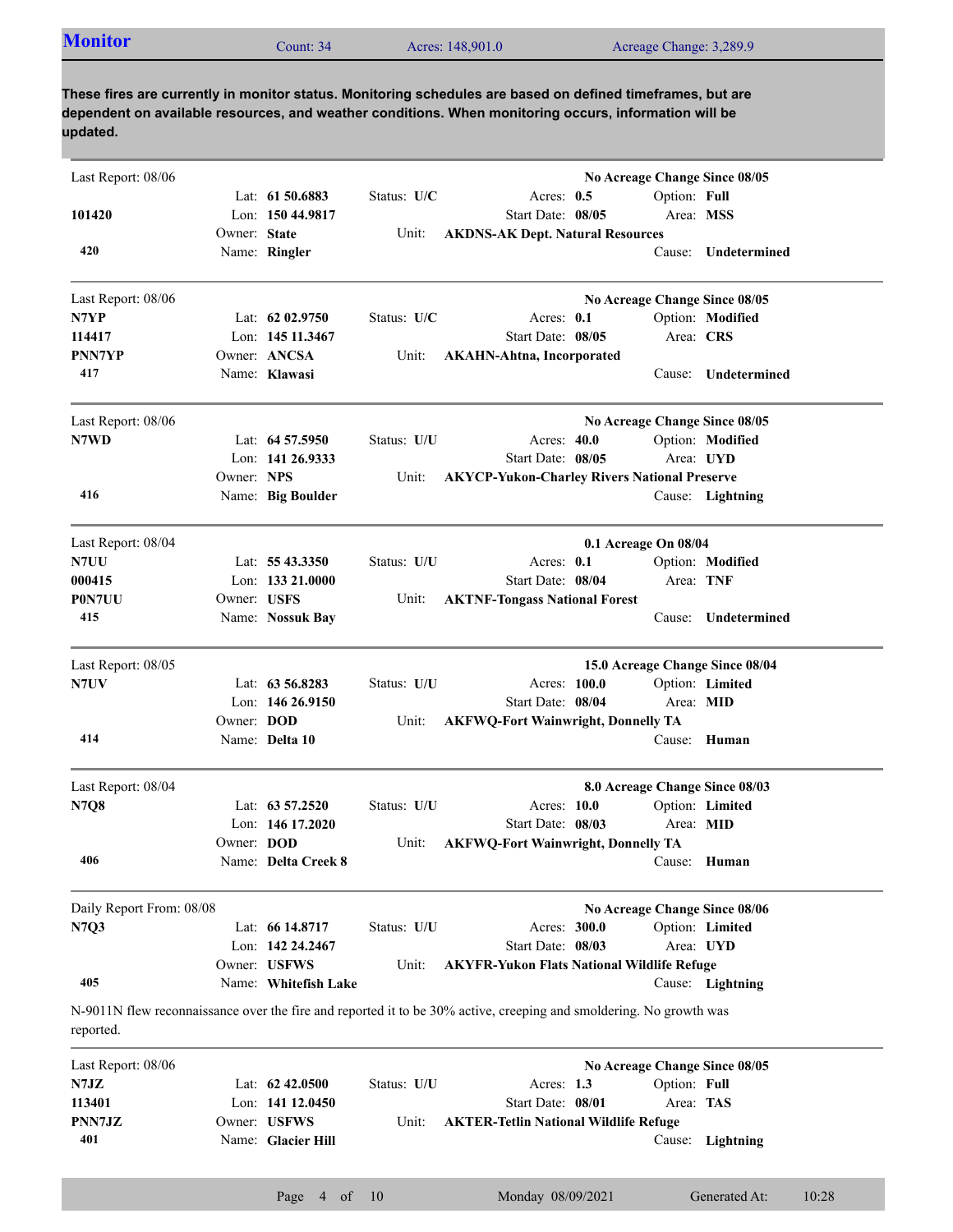|  | <b>Monitor</b><br>Acreage Change: 3,289.9<br>Acres: 148,901.0<br>Count: 34 |  |
|--|----------------------------------------------------------------------------|--|
|--|----------------------------------------------------------------------------|--|

| Last Report: 08/06       |              |                      |             | No Acreage Change Since 08/05                                                                                      |
|--------------------------|--------------|----------------------|-------------|--------------------------------------------------------------------------------------------------------------------|
|                          |              | Lat: 61 50.6883      | Status: U/C | Option: Full<br>Acres: $0.5$                                                                                       |
| 101420                   |              | Lon: 150 44.9817     |             | Start Date: 08/05<br>Area: MSS                                                                                     |
|                          | Owner: State |                      | Unit:       | <b>AKDNS-AK Dept. Natural Resources</b>                                                                            |
| 420                      |              | Name: Ringler        |             | Undetermined<br>Cause:                                                                                             |
| Last Report: 08/06       |              |                      |             | No Acreage Change Since 08/05                                                                                      |
| N7YP                     |              | Lat: $6202.9750$     | Status: U/C | Acres: $0.1$<br>Option: Modified                                                                                   |
| 114417                   |              | Lon: 145 11.3467     |             | Start Date: 08/05<br>Area: CRS                                                                                     |
| <b>PNN7YP</b>            |              | Owner: ANCSA         | Unit:       | <b>AKAHN-Ahtna, Incorporated</b>                                                                                   |
| 417                      |              | Name: Klawasi        |             | Undetermined<br>Cause:                                                                                             |
| Last Report: 08/06       |              |                      |             | No Acreage Change Since 08/05                                                                                      |
| N7WD                     |              | Lat: 64 57.5950      | Status: U/U | Acres: 40.0<br>Option: Modified                                                                                    |
|                          |              | Lon: $141\,26.9333$  |             | Start Date: 08/05<br>Area: UYD                                                                                     |
|                          | Owner: NPS   |                      | Unit:       | <b>AKYCP-Yukon-Charley Rivers National Preserve</b>                                                                |
| 416                      |              | Name: Big Boulder    |             | Cause: Lightning                                                                                                   |
| Last Report: 08/04       |              |                      |             | 0.1 Acreage On 08/04                                                                                               |
| N7UU                     |              | Lat: $5543.3350$     | Status: U/U | Acres: $0.1$<br>Option: Modified                                                                                   |
| 000415                   |              | Lon: $13321.0000$    |             | Area: TNF<br>Start Date: 08/04                                                                                     |
| P0N7UU                   | Owner: USFS  |                      | Unit:       | <b>AKTNF-Tongass National Forest</b>                                                                               |
| 415                      |              | Name: Nossuk Bay     |             | Undetermined<br>Cause:                                                                                             |
| Last Report: 08/05       |              |                      |             | 15.0 Acreage Change Since 08/04                                                                                    |
| N7UV                     |              | Lat: 63 56.8283      | Status: U/U | Acres: 100.0<br>Option: Limited                                                                                    |
|                          |              | Lon: 146 26.9150     |             | Start Date: 08/04<br>Area: MID                                                                                     |
|                          | Owner: DOD   |                      | Unit:       | <b>AKFWQ-Fort Wainwright, Donnelly TA</b>                                                                          |
| 414                      |              | Name: Delta 10       |             | Cause: Human                                                                                                       |
| Last Report: 08/04       |              |                      |             | 8.0 Acreage Change Since 08/03                                                                                     |
| <b>N7Q8</b>              |              | Lat: 63 57.2520      | Status: U/U | Option: Limited<br>Acres: 10.0                                                                                     |
|                          |              | Lon: $146$ 17.2020   |             | Start Date: 08/03<br>Area: MID                                                                                     |
|                          | Owner: DOD   |                      | Unit:       | <b>AKFWQ-Fort Wainwright, Donnelly TA</b>                                                                          |
| 406                      |              | Name: Delta Creek 8  |             | Cause: Human                                                                                                       |
| Daily Report From: 08/08 |              |                      |             | No Acreage Change Since 08/06                                                                                      |
| N7Q3                     |              | Lat: 66 14.8717      | Status: U/U | Option: Limited<br>Acres: 300.0                                                                                    |
|                          |              | Lon: 142 24,2467     |             | Start Date: 08/03<br>Area: UYD                                                                                     |
|                          |              | Owner: USFWS         | Unit:       | <b>AKYFR-Yukon Flats National Wildlife Refuge</b>                                                                  |
| 405                      |              | Name: Whitefish Lake |             | Cause: Lightning                                                                                                   |
| reported.                |              |                      |             | N-9011N flew reconnaissance over the fire and reported it to be 30% active, creeping and smoldering. No growth was |
| Last Report: 08/06       |              |                      |             | No Acreage Change Since 08/05                                                                                      |
| N7JZ                     |              | Lat: 62 42.0500      | Status: U/U | Acres: $1.3$<br>Option: Full                                                                                       |
| 113401                   |              | Lon: 141 12.0450     |             | Start Date: 08/01<br>Area: TAS                                                                                     |
| PNN7JZ                   |              | Owner: USFWS         | Unit:       | <b>AKTER-Tetlin National Wildlife Refuge</b>                                                                       |

Name: **Glacier Hill**

**401**

Cause: **Lightning**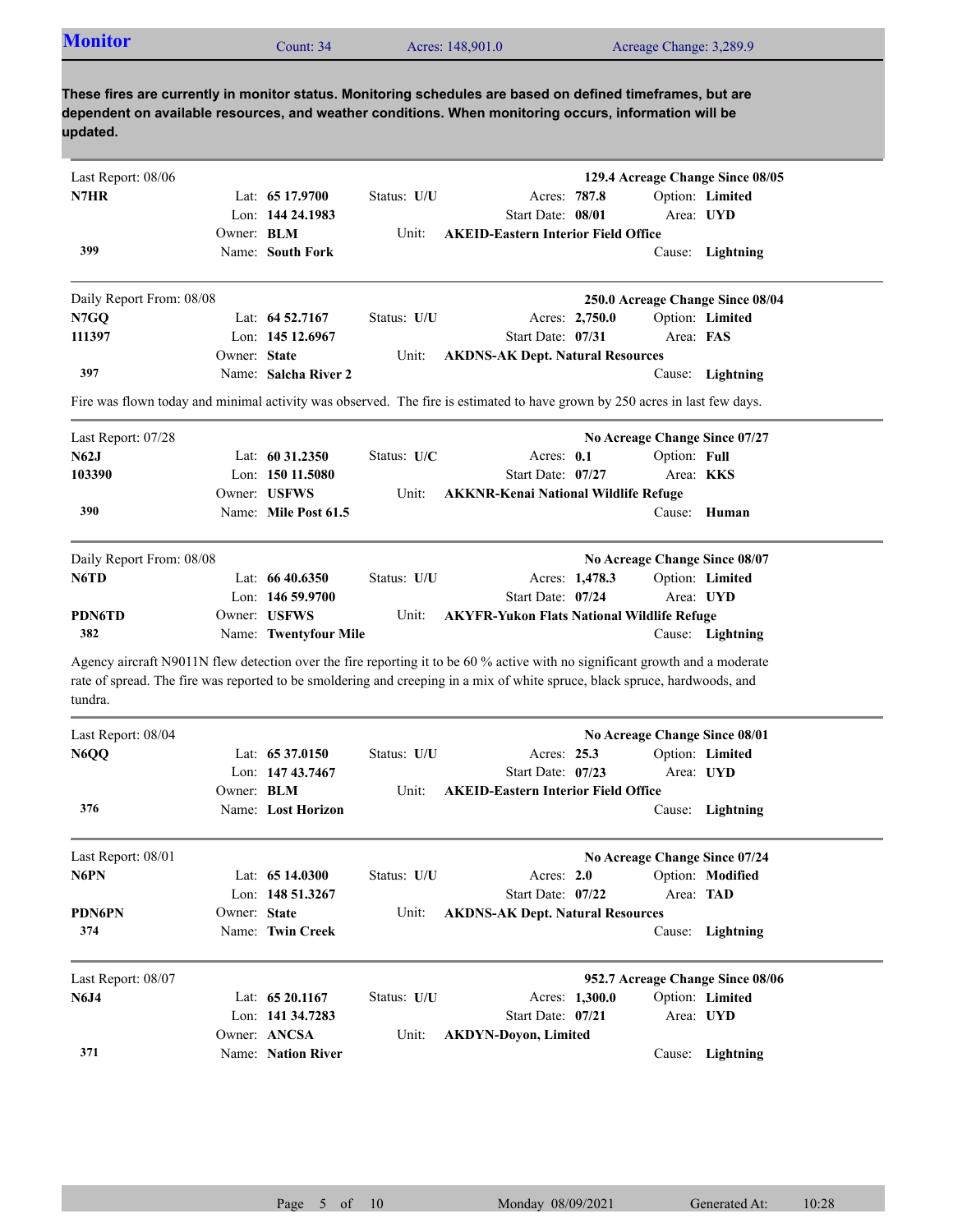|                                                                                                                                                                                                                                                                       |                   | Count: 34             |             | Acres: 148,901.0                                  |            |                | Acreage Change: 3,289.9       |                                  |
|-----------------------------------------------------------------------------------------------------------------------------------------------------------------------------------------------------------------------------------------------------------------------|-------------------|-----------------------|-------------|---------------------------------------------------|------------|----------------|-------------------------------|----------------------------------|
| These fires are currently in monitor status. Monitoring schedules are based on defined timeframes, but are<br>dependent on available resources, and weather conditions. When monitoring occurs, information will be<br>updated.                                       |                   |                       |             |                                                   |            |                |                               |                                  |
| Last Report: 08/06                                                                                                                                                                                                                                                    |                   |                       |             |                                                   |            |                |                               | 129.4 Acreage Change Since 08/05 |
| N7HR                                                                                                                                                                                                                                                                  |                   | Lat: 65 17.9700       | Status: U/U |                                                   |            | Acres: 787.8   |                               | Option: Limited                  |
|                                                                                                                                                                                                                                                                       |                   | Lon: 144 24.1983      |             | Start Date: 08/01                                 |            |                |                               | Area: UYD                        |
|                                                                                                                                                                                                                                                                       | Owner: BLM        |                       | Unit:       | <b>AKEID-Eastern Interior Field Office</b>        |            |                |                               |                                  |
| 399                                                                                                                                                                                                                                                                   |                   | Name: South Fork      |             |                                                   |            |                |                               | Cause: Lightning                 |
| Daily Report From: 08/08                                                                                                                                                                                                                                              |                   |                       |             |                                                   |            |                |                               | 250.0 Acreage Change Since 08/04 |
| N7GQ                                                                                                                                                                                                                                                                  |                   | Lat: 64 52.7167       | Status: U/U |                                                   |            | Acres: 2,750.0 |                               | Option: Limited                  |
| 111397                                                                                                                                                                                                                                                                |                   | Lon: 145 12.6967      |             | Start Date: 07/31                                 |            |                | Area: FAS                     |                                  |
|                                                                                                                                                                                                                                                                       | Owner: State      |                       | Unit:       | <b>AKDNS-AK Dept. Natural Resources</b>           |            |                |                               |                                  |
| 397                                                                                                                                                                                                                                                                   |                   | Name: Salcha River 2  |             |                                                   |            |                |                               | Cause: Lightning                 |
| Fire was flown today and minimal activity was observed. The fire is estimated to have grown by 250 acres in last few days.                                                                                                                                            |                   |                       |             |                                                   |            |                |                               |                                  |
| Last Report: 07/28                                                                                                                                                                                                                                                    |                   |                       |             |                                                   |            |                | No Acreage Change Since 07/27 |                                  |
| N62J                                                                                                                                                                                                                                                                  |                   | Lat: $6031.2350$      | Status: U/C |                                                   | Acres: 0.1 |                | Option: Full                  |                                  |
| 103390                                                                                                                                                                                                                                                                |                   | Lon: 150 11.5080      |             | Start Date: 07/27                                 |            |                |                               | Area: <b>KKS</b>                 |
|                                                                                                                                                                                                                                                                       |                   | Owner: USFWS          | Unit:       | <b>AKKNR-Kenai National Wildlife Refuge</b>       |            |                |                               |                                  |
| 390                                                                                                                                                                                                                                                                   |                   | Name: Mile Post 61.5  |             |                                                   |            |                |                               | Cause: Human                     |
|                                                                                                                                                                                                                                                                       |                   |                       |             |                                                   |            |                |                               | No Acreage Change Since 08/07    |
|                                                                                                                                                                                                                                                                       |                   |                       |             |                                                   |            |                |                               |                                  |
|                                                                                                                                                                                                                                                                       |                   | Lat: $6640.6350$      | Status: U/U |                                                   |            | Acres: 1,478.3 |                               | Option: Limited                  |
|                                                                                                                                                                                                                                                                       |                   | Lon: $14659.9700$     |             | Start Date: 07/24                                 |            |                |                               | Area: UYD                        |
|                                                                                                                                                                                                                                                                       |                   | Owner: USFWS          | Unit:       | <b>AKYFR-Yukon Flats National Wildlife Refuge</b> |            |                |                               |                                  |
| Daily Report From: 08/08<br>N6TD<br><b>PDN6TD</b><br>382                                                                                                                                                                                                              |                   | Name: Twentyfour Mile |             |                                                   |            |                |                               | Cause: Lightning                 |
| Agency aircraft N9011N flew detection over the fire reporting it to be 60 % active with no significant growth and a moderate<br>rate of spread. The fire was reported to be smoldering and creeping in a mix of white spruce, black spruce, hardwoods, and<br>tundra. |                   |                       |             |                                                   |            |                |                               |                                  |
| Last Report: 08/04                                                                                                                                                                                                                                                    |                   |                       |             |                                                   |            |                | No Acreage Change Since 08/01 |                                  |
|                                                                                                                                                                                                                                                                       |                   | Lat: 65 37.0150       | Status: U/U |                                                   |            | Acres: 25.3    |                               | Option: Limited                  |
|                                                                                                                                                                                                                                                                       |                   | Lon: 147 43.7467      |             | Start Date: 07/23                                 |            |                |                               | Area: UYD                        |
|                                                                                                                                                                                                                                                                       | Owner: <b>BLM</b> |                       | Unit:       | <b>AKEID-Eastern Interior Field Office</b>        |            |                |                               |                                  |
| 376                                                                                                                                                                                                                                                                   |                   | Name: Lost Horizon    |             |                                                   |            |                |                               | Cause: Lightning                 |
| N6QQ<br>Last Report: 08/01                                                                                                                                                                                                                                            |                   |                       |             |                                                   |            |                | No Acreage Change Since 07/24 |                                  |
|                                                                                                                                                                                                                                                                       |                   | Lat: 65 14.0300       | Status: U/U |                                                   | Acres: 2.0 |                |                               | Option: Modified                 |
|                                                                                                                                                                                                                                                                       |                   | Lon: 148 51.3267      |             | Start Date: 07/22                                 |            |                | Area: TAD                     |                                  |
|                                                                                                                                                                                                                                                                       | Owner: State      |                       | Unit:       | <b>AKDNS-AK Dept. Natural Resources</b>           |            |                |                               |                                  |
| 374                                                                                                                                                                                                                                                                   |                   | Name: Twin Creek      |             |                                                   |            |                |                               | Cause: Lightning                 |
|                                                                                                                                                                                                                                                                       |                   |                       |             |                                                   |            |                |                               | 952.7 Acreage Change Since 08/06 |
| N6PN<br><b>PDN6PN</b><br>Last Report: 08/07<br><b>N6J4</b>                                                                                                                                                                                                            |                   | Lat: 65 20.1167       | Status: U/U |                                                   |            | Acres: 1,300.0 |                               | Option: Limited                  |
|                                                                                                                                                                                                                                                                       |                   | Lon: 141 34.7283      |             | Start Date: 07/21                                 |            |                |                               | Area: UYD                        |
|                                                                                                                                                                                                                                                                       |                   | Owner: ANCSA          | Unit:       | <b>AKDYN-Doyon, Limited</b>                       |            |                |                               |                                  |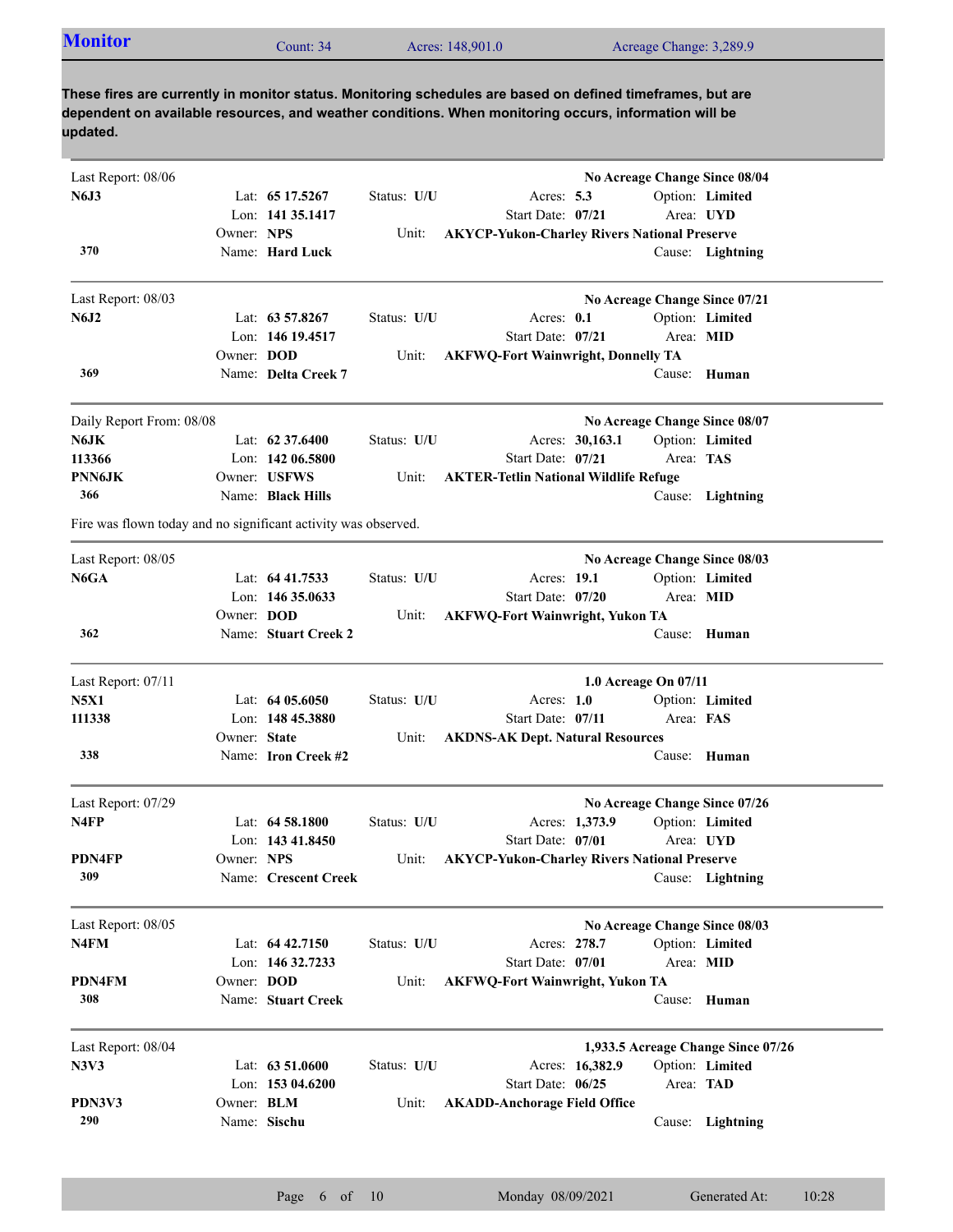| <b>Monitor</b> | Count: 34 | Acres: 148,901.0 | Acreage Change: 3,289.9 |  |
|----------------|-----------|------------------|-------------------------|--|
|----------------|-----------|------------------|-------------------------|--|

| Last Report: 08/06                                             |                   |                      |             |                                                     | No Acreage Change Since 08/04 |                                    |
|----------------------------------------------------------------|-------------------|----------------------|-------------|-----------------------------------------------------|-------------------------------|------------------------------------|
| <b>N6J3</b>                                                    |                   | Lat: 65 17.5267      | Status: U/U | Acres: $5.3$                                        |                               | Option: Limited                    |
|                                                                |                   | Lon: 141 35.1417     |             | Start Date: 07/21                                   |                               | Area: UYD                          |
|                                                                | Owner: NPS        |                      | Unit:       | <b>AKYCP-Yukon-Charley Rivers National Preserve</b> |                               |                                    |
| 370                                                            |                   | Name: Hard Luck      |             |                                                     |                               | Cause: Lightning                   |
| Last Report: 08/03                                             |                   |                      |             |                                                     | No Acreage Change Since 07/21 |                                    |
| <b>N6J2</b>                                                    |                   | Lat: 63 57.8267      | Status: U/U | Acres: 0.1                                          |                               | Option: Limited                    |
|                                                                |                   | Lon: 146 19.4517     |             | Start Date: 07/21                                   | Area: MID                     |                                    |
|                                                                | Owner: DOD        |                      | Unit:       | <b>AKFWQ-Fort Wainwright, Donnelly TA</b>           |                               |                                    |
| 369                                                            |                   | Name: Delta Creek 7  |             |                                                     |                               | Cause: Human                       |
| Daily Report From: 08/08                                       |                   |                      |             |                                                     | No Acreage Change Since 08/07 |                                    |
| N6JK                                                           |                   | Lat: $62\,37.6400$   | Status: U/U | Acres: 30,163.1                                     |                               | Option: Limited                    |
| 113366                                                         |                   | Lon: $14206.5800$    |             | Start Date: 07/21                                   | Area: TAS                     |                                    |
| PNN6JK                                                         |                   | Owner: USFWS         | Unit:       | <b>AKTER-Tetlin National Wildlife Refuge</b>        |                               |                                    |
| 366                                                            |                   | Name: Black Hills    |             |                                                     |                               | Cause: Lightning                   |
| Fire was flown today and no significant activity was observed. |                   |                      |             |                                                     |                               |                                    |
| Last Report: 08/05                                             |                   |                      |             |                                                     | No Acreage Change Since 08/03 |                                    |
| N6GA                                                           |                   | Lat: $64\,41.7533$   | Status: U/U | Acres: 19.1                                         |                               | Option: Limited                    |
|                                                                |                   | Lon: 146 35.0633     |             | Start Date: 07/20                                   | Area: MID                     |                                    |
|                                                                | Owner: DOD        |                      | Unit:       | <b>AKFWQ-Fort Wainwright, Yukon TA</b>              |                               |                                    |
| 362                                                            |                   | Name: Stuart Creek 2 |             |                                                     |                               | Cause: Human                       |
| Last Report: 07/11                                             |                   |                      |             |                                                     | 1.0 Acreage On 07/11          |                                    |
| <b>N5X1</b>                                                    |                   | Lat: $6405.6050$     | Status: U/U | Acres: $1.0$                                        |                               | Option: Limited                    |
| 111338                                                         |                   | Lon: 148 45.3880     |             | Start Date: 07/11                                   | Area: FAS                     |                                    |
|                                                                | Owner: State      |                      | Unit:       | <b>AKDNS-AK Dept. Natural Resources</b>             |                               |                                    |
| 338                                                            |                   | Name: Iron Creek #2  |             |                                                     |                               | Cause: Human                       |
| Last Report: 07/29                                             |                   |                      |             |                                                     | No Acreage Change Since 07/26 |                                    |
| N <sub>4FP</sub>                                               |                   | Lat: $64\,58.1800$   | Status: U/U | Acres: 1,373.9                                      |                               | Option: Limited                    |
|                                                                |                   | Lon: 143 41.8450     |             | Start Date: 07/01                                   |                               | Area: UYD                          |
| PDN4FP                                                         | Owner: NPS        |                      | Unit:       | <b>AKYCP-Yukon-Charley Rivers National Preserve</b> |                               |                                    |
| 309                                                            |                   | Name: Crescent Creek |             |                                                     |                               | Cause: Lightning                   |
| Last Report: 08/05                                             |                   |                      |             |                                                     | No Acreage Change Since 08/03 |                                    |
| N4FM                                                           |                   | Lat: $64\,42.7150$   | Status: U/U | Acres: 278.7                                        |                               | Option: Limited                    |
|                                                                |                   | Lon: 146 32.7233     |             | Start Date: 07/01                                   |                               | Area: MID                          |
| PDN4FM                                                         | Owner: DOD        |                      | Unit:       | <b>AKFWQ-Fort Wainwright, Yukon TA</b>              |                               |                                    |
| 308                                                            |                   | Name: Stuart Creek   |             |                                                     | Cause:                        | Human                              |
| Last Report: 08/04                                             |                   |                      |             |                                                     |                               | 1,933.5 Acreage Change Since 07/26 |
| N3V3                                                           |                   | Lat: $63\,51.0600$   | Status: U/U | Acres: 16,382.9                                     |                               | Option: Limited                    |
|                                                                |                   | Lon: 153 04.6200     |             | Start Date: 06/25                                   |                               | Area: TAD                          |
| PDN3V3                                                         | Owner: <b>BLM</b> |                      | Unit:       | <b>AKADD-Anchorage Field Office</b>                 |                               |                                    |
| 290                                                            |                   | Name: Sischu         |             |                                                     |                               | Cause: Lightning                   |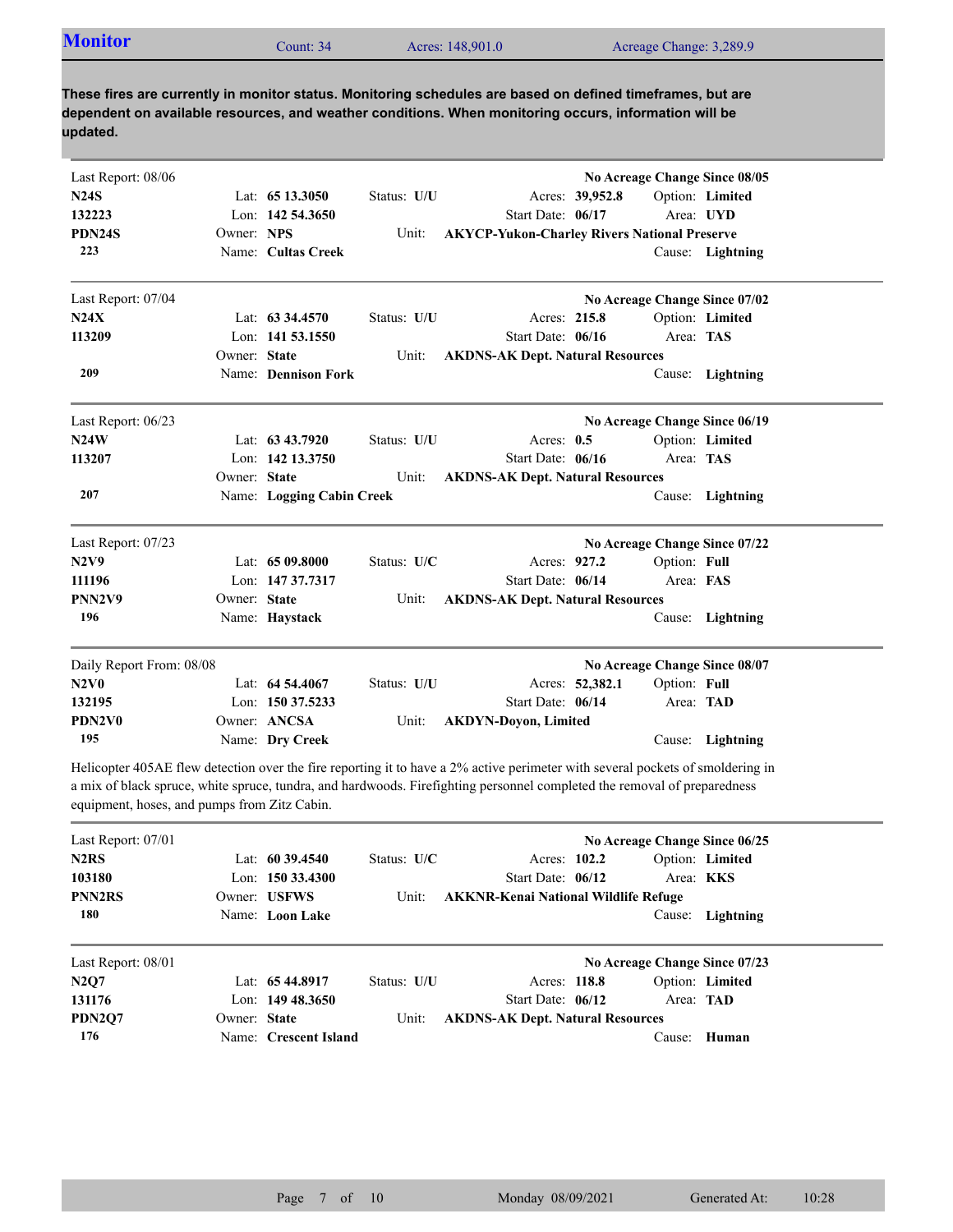| <b>Monitor</b> | Count: 34 | Acres: 148,901.0 | Acreage Change: 3,289.9 |
|----------------|-----------|------------------|-------------------------|

| Last Report: 08/06       |              |                           |             |                                                     |                 |              | No Acreage Change Since 08/05 |  |
|--------------------------|--------------|---------------------------|-------------|-----------------------------------------------------|-----------------|--------------|-------------------------------|--|
| <b>N24S</b>              |              | Lat: 65 13.3050           | Status: U/U |                                                     | Acres: 39,952.8 |              | Option: Limited               |  |
| 132223                   |              | Lon: $142,54,3650$        |             | Start Date: 06/17                                   |                 | Area: UYD    |                               |  |
| PDN24S                   | Owner: NPS   |                           | Unit:       | <b>AKYCP-Yukon-Charley Rivers National Preserve</b> |                 |              |                               |  |
| 223                      |              | Name: Cultas Creek        |             |                                                     |                 |              | Cause: Lightning              |  |
| Last Report: 07/04       |              |                           |             |                                                     |                 |              | No Acreage Change Since 07/02 |  |
| N24X                     |              | Lat: $63\,34.4570$        | Status: U/U | Acres: 215.8                                        |                 |              | Option: Limited               |  |
| 113209                   |              | Lon: 141 53.1550          |             | Start Date: 06/16                                   |                 | Area: TAS    |                               |  |
|                          | Owner: State |                           | Unit:       | <b>AKDNS-AK Dept. Natural Resources</b>             |                 |              |                               |  |
| 209                      |              | Name: Dennison Fork       |             |                                                     |                 |              | Cause: Lightning              |  |
| Last Report: 06/23       |              |                           |             |                                                     |                 |              | No Acreage Change Since 06/19 |  |
| N24W                     |              | Lat: 63 43.7920           | Status: U/U | Acres: $0.5$                                        |                 |              | Option: Limited               |  |
| 113207                   |              | Lon: 142 13.3750          |             | Start Date: 06/16                                   |                 | Area: TAS    |                               |  |
|                          | Owner: State |                           | Unit:       | <b>AKDNS-AK Dept. Natural Resources</b>             |                 |              |                               |  |
| 207                      |              | Name: Logging Cabin Creek |             |                                                     |                 | Cause:       | Lightning                     |  |
| Last Report: 07/23       |              |                           |             |                                                     |                 |              | No Acreage Change Since 07/22 |  |
| <b>N2V9</b>              |              | Lat: 65 09.8000           | Status: U/C | Acres: 927.2                                        |                 | Option: Full |                               |  |
| 111196                   |              | Lon: 147 37.7317          |             | Start Date: 06/14                                   |                 | Area: FAS    |                               |  |
| PNN2V9                   | Owner: State |                           | Unit:       | <b>AKDNS-AK Dept. Natural Resources</b>             |                 |              |                               |  |
| 196                      |              | Name: Haystack            |             |                                                     |                 |              | Cause: Lightning              |  |
| Daily Report From: 08/08 |              |                           |             |                                                     |                 |              | No Acreage Change Since 08/07 |  |
| N2V0                     |              | Lat: $64\,54.4067$        | Status: U/U |                                                     | Acres: 52,382.1 | Option: Full |                               |  |
| 132195                   |              | Lon: 150 37.5233          |             | Start Date: 06/14                                   |                 | Area: TAD    |                               |  |
| PDN2V0                   |              | Owner: ANCSA              | Unit:       | <b>AKDYN-Doyon, Limited</b>                         |                 |              |                               |  |
| 195                      |              | Name: Dry Creek           |             |                                                     |                 |              | Cause: Lightning              |  |

Helicopter 405AE flew detection over the fire reporting it to have a 2% active perimeter with several pockets of smoldering in a mix of black spruce, white spruce, tundra, and hardwoods. Firefighting personnel completed the removal of preparedness equipment, hoses, and pumps from Zitz Cabin.

| Last Report: $07/01$          |              |                       |               |                                             | No Acreage Change Since 06/25 |                  |
|-------------------------------|--------------|-----------------------|---------------|---------------------------------------------|-------------------------------|------------------|
| N <sub>2</sub> R <sub>S</sub> |              | Lat: $60\,39.4540$    | Status: $U/C$ | Acres: 102.2                                |                               | Option: Limited  |
| 103180                        |              | Lon: $150\,33.4300$   |               | Start Date: $06/12$                         |                               | Area: <b>KKS</b> |
| <b>PNN2RS</b>                 |              | Owner: USFWS          | Unit:         | <b>AKKNR-Kenai National Wildlife Refuge</b> |                               |                  |
| 180                           |              | Name: Loon Lake       |               |                                             | Cause:                        | Lightning        |
| Last Report: 08/01            |              |                       |               |                                             | No Acreage Change Since 07/23 |                  |
| N2Q7                          |              | Lat: $6544.8917$      | Status: U/U   | Acres: 118.8                                |                               | Option: Limited  |
| 131176                        |              | Lon: $149\,48.3650$   |               | Start Date: $06/12$                         |                               | Area: TAD        |
| <b>PDN2O7</b>                 | Owner: State |                       | Unit:         | <b>AKDNS-AK Dept. Natural Resources</b>     |                               |                  |
| 176                           |              | Name: Crescent Island |               |                                             | Cause:                        | Human            |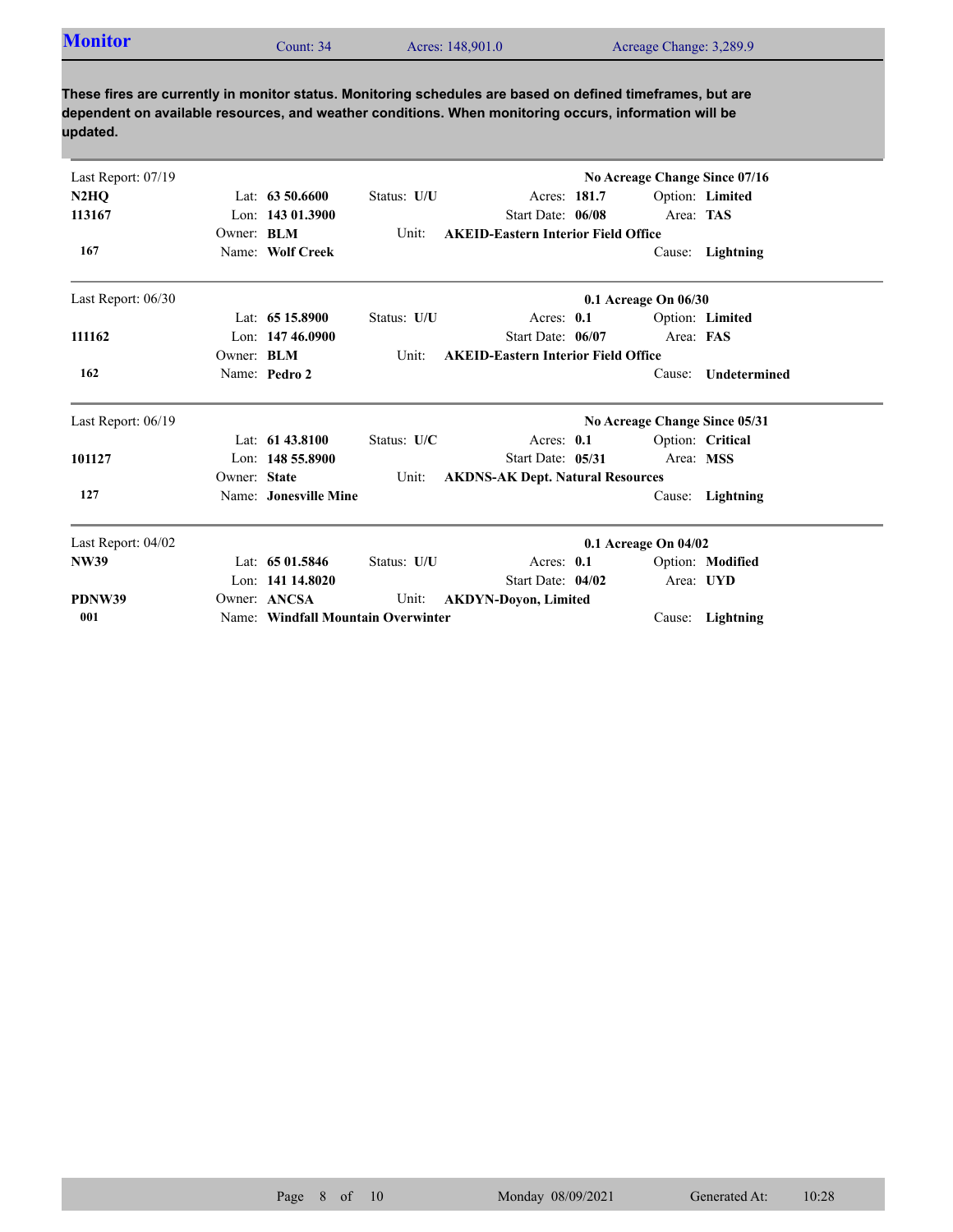| Last Report: 07/19 |                   |                                    |             |                                            | No Acreage Change Since 07/16 |                  |
|--------------------|-------------------|------------------------------------|-------------|--------------------------------------------|-------------------------------|------------------|
| N2HQ               |                   | Lat: $63\,50.6600$                 | Status: U/U | Acres: 181.7                               |                               | Option: Limited  |
| 113167             |                   | Lon: 143 01.3900                   |             | Start Date: 06/08                          | Area: TAS                     |                  |
|                    | Owner: <b>BLM</b> |                                    | Unit:       | <b>AKEID-Eastern Interior Field Office</b> |                               |                  |
| 167                |                   | Name: Wolf Creek                   |             |                                            |                               | Cause: Lightning |
| Last Report: 06/30 |                   |                                    |             |                                            | 0.1 Acreage On 06/30          |                  |
|                    |                   | Lat: $6515.8900$                   | Status: U/U | Acres: 0.1                                 |                               | Option: Limited  |
| 111162             |                   | Lon: 147 46.0900                   |             | Start Date: 06/07                          | Area: FAS                     |                  |
|                    | Owner: BLM        |                                    | Unit:       | <b>AKEID-Eastern Interior Field Office</b> |                               |                  |
| 162                |                   | Name: Pedro 2                      |             |                                            | Cause:                        | Undetermined     |
| Last Report: 06/19 |                   |                                    |             |                                            | No Acreage Change Since 05/31 |                  |
|                    |                   | Lat: 61 43.8100                    | Status: U/C | Acres: 0.1                                 |                               | Option: Critical |
| 101127             |                   | Lon: 148 55.8900                   |             | Start Date: 05/31                          | Area: MSS                     |                  |
|                    | Owner: State      |                                    | Unit:       | <b>AKDNS-AK Dept. Natural Resources</b>    |                               |                  |
| 127                |                   | Name: Jonesville Mine              |             |                                            |                               | Cause: Lightning |
| Last Report: 04/02 |                   |                                    |             |                                            | 0.1 Acreage On 04/02          |                  |
| <b>NW39</b>        |                   | Lat: 65 01.5846                    | Status: U/U | Acres: 0.1                                 |                               | Option: Modified |
|                    |                   | Lon: 141 14.8020                   |             | Start Date: 04/02                          |                               | Area: UYD        |
| PDNW39             |                   | Owner: ANCSA                       | Unit:       | <b>AKDYN-Doyon, Limited</b>                |                               |                  |
| 001                |                   | Name: Windfall Mountain Overwinter |             |                                            |                               | Cause: Lightning |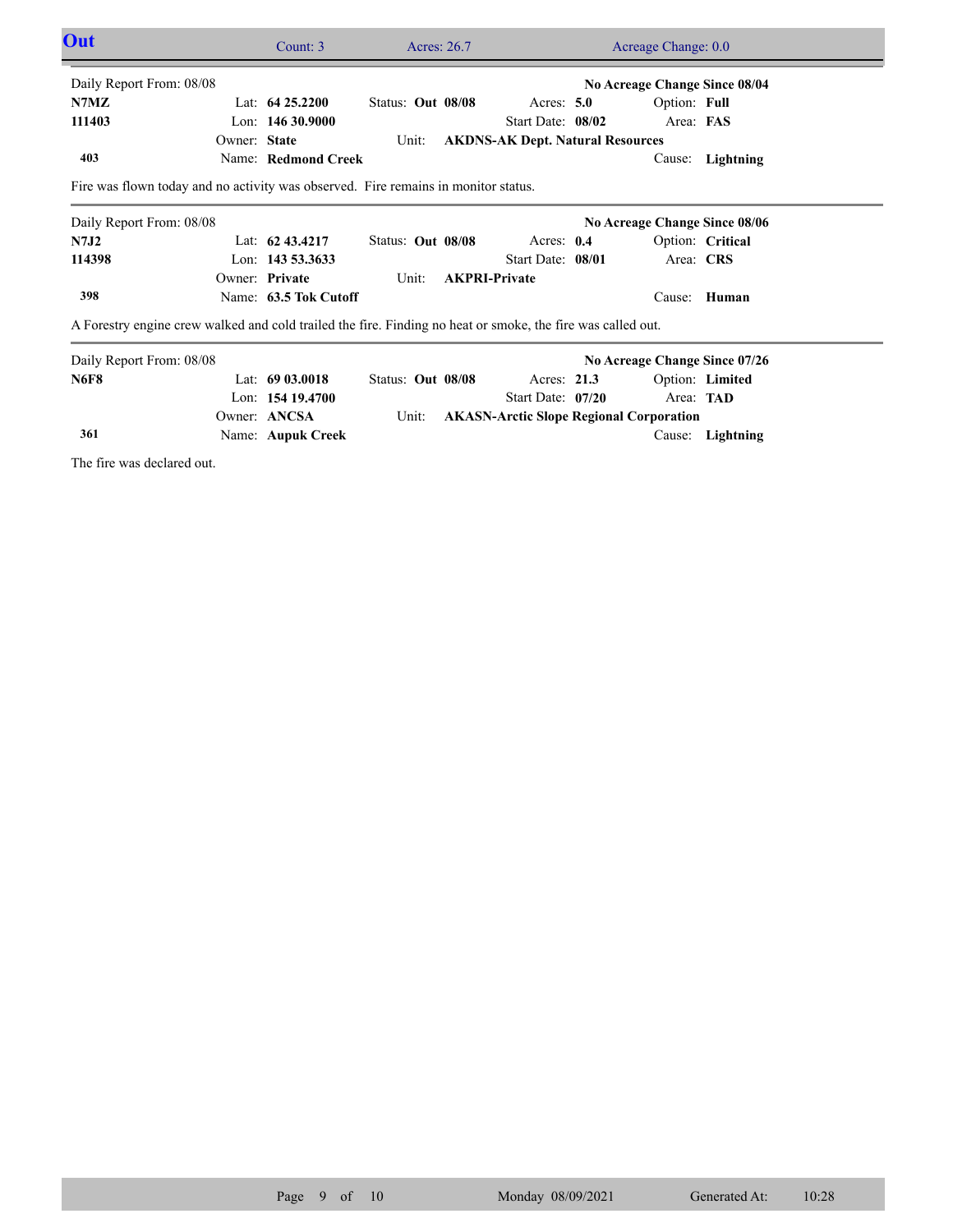| <b>Out</b>               |                                                                                                             | Count: $3$            | Acres: 26.7       |                                                | Acreage Change: 0.0           |                  |  |
|--------------------------|-------------------------------------------------------------------------------------------------------------|-----------------------|-------------------|------------------------------------------------|-------------------------------|------------------|--|
| Daily Report From: 08/08 |                                                                                                             |                       |                   |                                                | No Acreage Change Since 08/04 |                  |  |
| N7MZ                     |                                                                                                             | Lat: $64\,25.2200$    | Status: Out 08/08 | Acres: $5.0$                                   | Option: Full                  |                  |  |
| 111403                   |                                                                                                             | Lon: $14630.9000$     |                   | Start Date: 08/02                              | Area: FAS                     |                  |  |
|                          | Owner: State                                                                                                |                       | Unit:             | <b>AKDNS-AK Dept. Natural Resources</b>        |                               |                  |  |
| 403                      |                                                                                                             | Name: Redmond Creek   |                   |                                                | Cause:                        | Lightning        |  |
|                          | Fire was flown today and no activity was observed. Fire remains in monitor status.                          |                       |                   |                                                |                               |                  |  |
| Daily Report From: 08/08 |                                                                                                             |                       |                   |                                                | No Acreage Change Since 08/06 |                  |  |
| N7J2                     |                                                                                                             | Lat: $62\,43.4217$    | Status: Out 08/08 | Acres: 0.4                                     |                               | Option: Critical |  |
| 114398                   |                                                                                                             | Lon: 143 53.3633      |                   | Start Date: 08/01                              | Area: CRS                     |                  |  |
|                          |                                                                                                             | Owner: Private        | Unit:             | <b>AKPRI-Private</b>                           |                               |                  |  |
| 398                      |                                                                                                             | Name: 63.5 Tok Cutoff |                   |                                                | Cause:                        | Human            |  |
|                          | A Forestry engine crew walked and cold trailed the fire. Finding no heat or smoke, the fire was called out. |                       |                   |                                                |                               |                  |  |
| Daily Report From: 08/08 |                                                                                                             |                       |                   |                                                | No Acreage Change Since 07/26 |                  |  |
| <b>N6F8</b>              |                                                                                                             | Lat: 69 03.0018       | Status: Out 08/08 | Acres: $21.3$                                  |                               | Option: Limited  |  |
|                          |                                                                                                             | Lon: 154 19.4700      |                   | Start Date: 07/20                              | Area: TAD                     |                  |  |
|                          |                                                                                                             | Owner: ANCSA          | Unit:             | <b>AKASN-Arctic Slope Regional Corporation</b> |                               |                  |  |
| 361                      |                                                                                                             | Name: Aupuk Creek     |                   |                                                |                               | Cause: Lightning |  |

The fire was declared out.